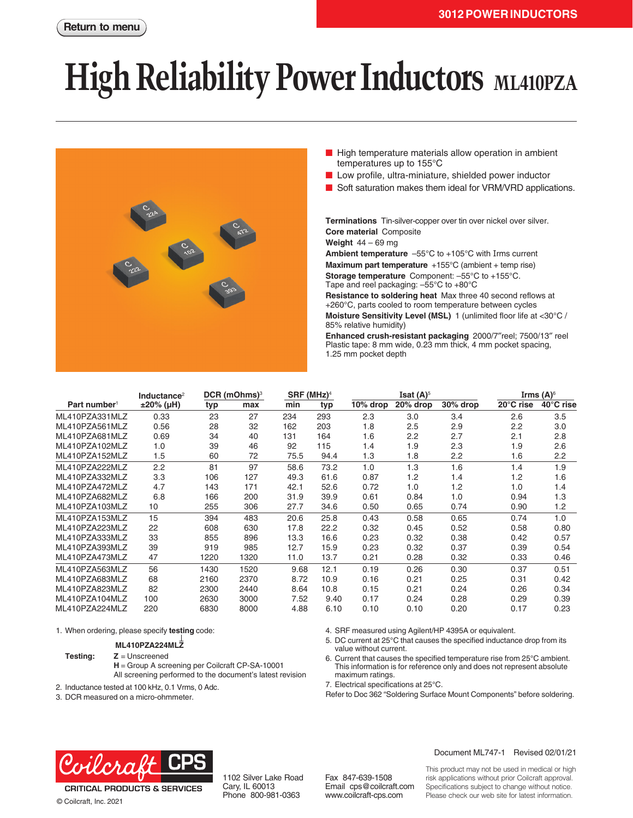# **High Reliability Power Inductors ML410PZA**



- High temperature materials allow operation in ambient temperatures up to 155°C
- Low profile, ultra-miniature, shielded power inductor
- Soft saturation makes them ideal for VRM/VRD applications.

**Terminations** Tin-silver-copper over tin over nickel over silver. **Core material** Composite

**Weight** 44 – 69 mg

**Ambient temperature** –55°C to +105°C with Irms current **Maximum part temperature** +155°C (ambient + temp rise) **Storage temperature** Component: –55°C to +155°C.

Tape and reel packaging: –55°C to +80°C **Resistance to soldering heat** Max three 40 second reflows at

+260°C, parts cooled to room temperature between cycles **Moisture Sensitivity Level (MSL)** 1 (unlimited floor life at <30°C / 85% relative humidity)

**Enhanced crush-resistant packaging** 2000/7″reel; 7500/13″ reel Plastic tape: 8 mm wide, 0.23 mm thick, 4 mm pocket spacing, 1.25 mm pocket depth

|                          | Inductance <sup>2</sup> | $DCR$ (mOhms) <sup>3</sup> |      | $SRF$ (MHz) <sup>4</sup> |      | Isat $(A)^5$ |          |             | Irms (A) $\rm ^{6}$ |           |
|--------------------------|-------------------------|----------------------------|------|--------------------------|------|--------------|----------|-------------|---------------------|-----------|
| Part number <sup>1</sup> | $±20\%$ (µH)            | typ                        | max  | min                      | typ  | 10% drop     | 20% drop | $30\%$ drop | 20°C rise           | 40°C rise |
| ML410PZA331MLZ           | 0.33                    | 23                         | 27   | 234                      | 293  | 2.3          | 3.0      | 3.4         | 2.6                 | 3.5       |
| ML410PZA561MLZ           | 0.56                    | 28                         | 32   | 162                      | 203  | 1.8          | 2.5      | 2.9         | 2.2                 | 3.0       |
| ML410PZA681MLZ           | 0.69                    | 34                         | 40   | 131                      | 164  | 1.6          | 2.2      | 2.7         | 2.1                 | 2.8       |
| ML410PZA102MLZ           | 1.0                     | 39                         | 46   | 92                       | 115  | 1.4          | 1.9      | 2.3         | 1.9                 | 2.6       |
| ML410PZA152MLZ           | 1.5                     | 60                         | 72   | 75.5                     | 94.4 | 1.3          | 1.8      | 2.2         | 1.6                 | 2.2       |
| ML410PZA222MLZ           | 2.2                     | 81                         | 97   | 58.6                     | 73.2 | 1.0          | 1.3      | 1.6         | 1.4                 | 1.9       |
| ML410PZA332MLZ           | 3.3                     | 106                        | 127  | 49.3                     | 61.6 | 0.87         | 1.2      | 1.4         | 1.2                 | 1.6       |
| ML410PZA472MLZ           | 4.7                     | 143                        | 171  | 42.1                     | 52.6 | 0.72         | 1.0      | 1.2         | 1.0                 | 1.4       |
| ML410PZA682MLZ           | 6.8                     | 166                        | 200  | 31.9                     | 39.9 | 0.61         | 0.84     | 1.0         | 0.94                | 1.3       |
| ML410PZA103MLZ           | 10                      | 255                        | 306  | 27.7                     | 34.6 | 0.50         | 0.65     | 0.74        | 0.90                | 1.2       |
| ML410PZA153MLZ           | 15                      | 394                        | 483  | 20.6                     | 25.8 | 0.43         | 0.58     | 0.65        | 0.74                | 1.0       |
| ML410PZA223MLZ           | 22                      | 608                        | 630  | 17.8                     | 22.2 | 0.32         | 0.45     | 0.52        | 0.58                | 0.80      |
| ML410PZA333MLZ           | 33                      | 855                        | 896  | 13.3                     | 16.6 | 0.23         | 0.32     | 0.38        | 0.42                | 0.57      |
| ML410PZA393MLZ           | 39                      | 919                        | 985  | 12.7                     | 15.9 | 0.23         | 0.32     | 0.37        | 0.39                | 0.54      |
| ML410PZA473MLZ           | 47                      | 1220                       | 1320 | 11.0                     | 13.7 | 0.21         | 0.28     | 0.32        | 0.33                | 0.46      |
| ML410PZA563MLZ           | 56                      | 1430                       | 1520 | 9.68                     | 12.1 | 0.19         | 0.26     | 0.30        | 0.37                | 0.51      |
| ML410PZA683MLZ           | 68                      | 2160                       | 2370 | 8.72                     | 10.9 | 0.16         | 0.21     | 0.25        | 0.31                | 0.42      |
| ML410PZA823MLZ           | 82                      | 2300                       | 2440 | 8.64                     | 10.8 | 0.15         | 0.21     | 0.24        | 0.26                | 0.34      |
| ML410PZA104MLZ           | 100                     | 2630                       | 3000 | 7.52                     | 9.40 | 0.17         | 0.24     | 0.28        | 0.29                | 0.39      |
| ML410PZA224MLZ           | 220                     | 6830                       | 8000 | 4.88                     | 6.10 | 0.10         | 0.10     | 0.20        | 0.17                | 0.23      |

1. When ordering, please specify **testing** code:

### **ML410PZA224MLZ**

#### **Testing: Z** = Unscreened

**H** = Group A screening per Coilcraft CP-SA-10001 All screening performed to the document's latest revision

2. Inductance tested at 100 kHz, 0.1 Vrms, 0 Adc.

3. DCR measured on a micro-ohmmeter.

4. SRF measured using Agilent/HP 4395A or equivalent.

- 5. DC current at 25°C that causes the specified inductance drop from its value without current.
- 6. Current that causes the specified temperature rise from 25°C ambient. This information is for reference only and does not represent absolute maximum ratings.

7. Electrical specifications at 25°C.

Refer to Doc 362 "Soldering Surface Mount Components" before soldering.



**CRITICAL PRODUCTS & SERVICES** © Coilcraft, Inc. 2021

1102 Silver Lake Road Cary, IL 60013 Phone 800-981-0363

Fax 847-639-1508 Email cps@coilcraft.com www.coilcraft-cps.com

Document ML747-1 Revised 02/01/21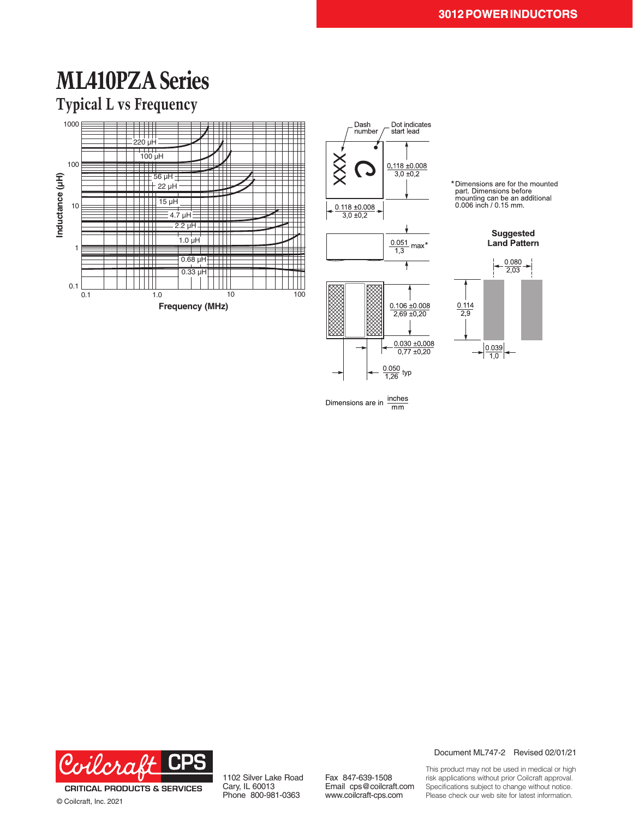## **ML410PZA Series**

### **Typical L vs Frequency**





\* Dimensions are for the mounted<br>part. Dimensions before<br>mounting can be an additional<br>0.006 inch / 0.15 mm.



Dimensions are in  $\frac{\text{inches}}{\text{mm}}$ 



© Coilcraft, Inc. 2021

1102 Silver Lake Road Cary, IL 60013 Phone 800-981-0363

Fax 847-639-1508 Email cps@coilcraft.com www.coilcraft-cps.com

Document ML747-2 Revised 02/01/21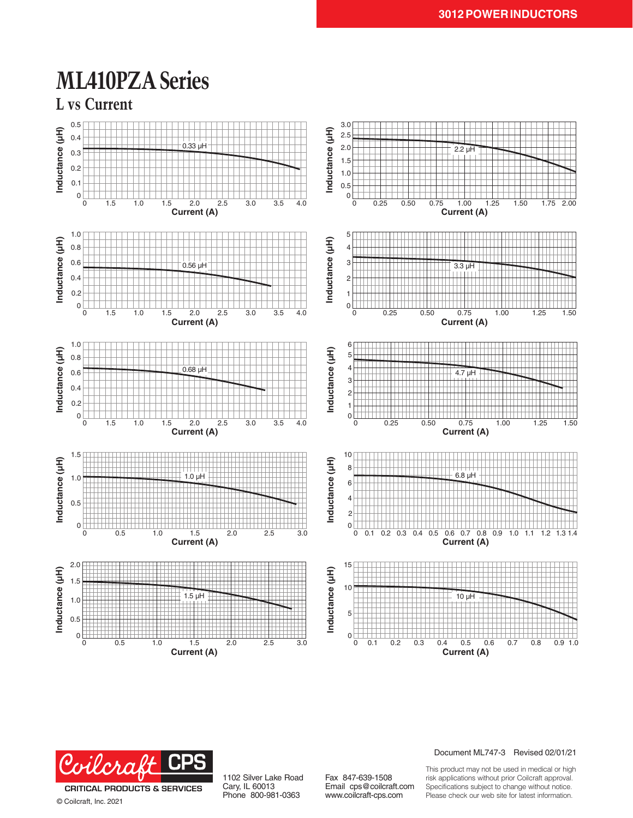### **ML410PZA Series**





**CRITICAL PRODUCTS & SERVICES** © Coilcraft, Inc. 2021

1102 Silver Lake Road Cary, IL 60013 Phone 800-981-0363

Fax 847-639-1508 Email cps@coilcraft.com www.coilcraft-cps.com

#### Document ML747-3 Revised 02/01/21